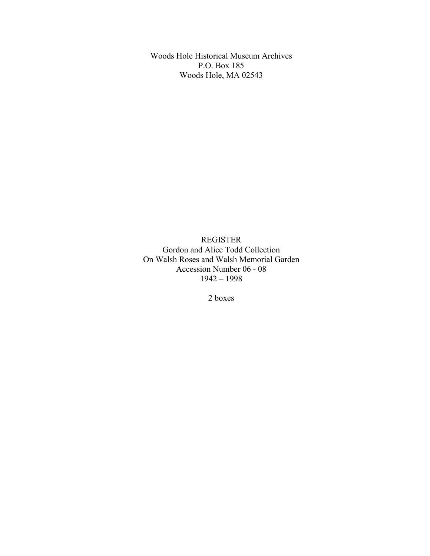Woods Hole Historical Museum Archives P.O. Box 185 Woods Hole, MA 02543

REGISTER Gordon and Alice Todd Collection On Walsh Roses and Walsh Memorial Garden Accession Number 06 - 08 1942 – 1998

2 boxes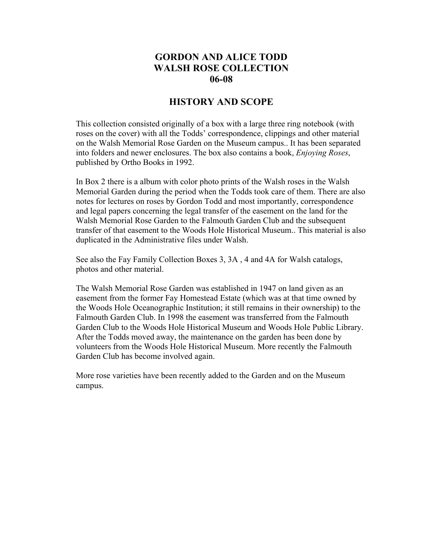# **GORDON AND ALICE TODD WALSH ROSE COLLECTION 06-08**

### **HISTORY AND SCOPE**

This collection consisted originally of a box with a large three ring notebook (with roses on the cover) with all the Todds' correspondence, clippings and other material on the Walsh Memorial Rose Garden on the Museum campus.. It has been separated into folders and newer enclosures. The box also contains a book, *Enjoying Roses*, published by Ortho Books in 1992.

In Box 2 there is a album with color photo prints of the Walsh roses in the Walsh Memorial Garden during the period when the Todds took care of them. There are also notes for lectures on roses by Gordon Todd and most importantly, correspondence and legal papers concerning the legal transfer of the easement on the land for the Walsh Memorial Rose Garden to the Falmouth Garden Club and the subsequent transfer of that easement to the Woods Hole Historical Museum.. This material is also duplicated in the Administrative files under Walsh.

See also the Fay Family Collection Boxes 3, 3A , 4 and 4A for Walsh catalogs, photos and other material.

The Walsh Memorial Rose Garden was established in 1947 on land given as an easement from the former Fay Homestead Estate (which was at that time owned by the Woods Hole Oceanographic Institution; it still remains in their ownership) to the Falmouth Garden Club. In 1998 the easement was transferred from the Falmouth Garden Club to the Woods Hole Historical Museum and Woods Hole Public Library. After the Todds moved away, the maintenance on the garden has been done by volunteers from the Woods Hole Historical Museum. More recently the Falmouth Garden Club has become involved again.

More rose varieties have been recently added to the Garden and on the Museum campus.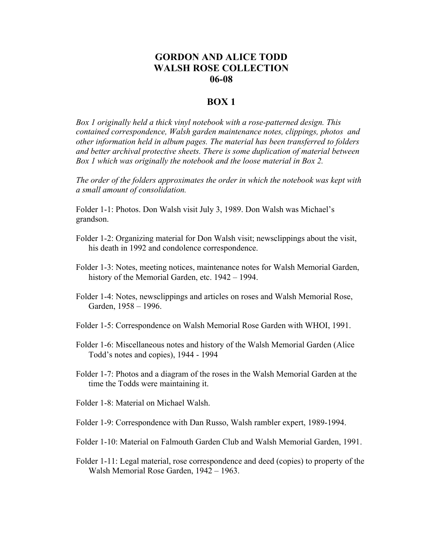## **GORDON AND ALICE TODD WALSH ROSE COLLECTION 06-08**

#### **BOX 1**

*Box 1 originally held a thick vinyl notebook with a rose-patterned design. This contained correspondence, Walsh garden maintenance notes, clippings, photos and other information held in album pages. The material has been transferred to folders and better archival protective sheets. There is some duplication of material between Box 1 which was originally the notebook and the loose material in Box 2.*

*The order of the folders approximates the order in which the notebook was kept with a small amount of consolidation.*

Folder 1-1: Photos. Don Walsh visit July 3, 1989. Don Walsh was Michael's grandson.

- Folder 1-2: Organizing material for Don Walsh visit; newsclippings about the visit, his death in 1992 and condolence correspondence.
- Folder 1-3: Notes, meeting notices, maintenance notes for Walsh Memorial Garden, history of the Memorial Garden, etc. 1942 – 1994.
- Folder 1-4: Notes, newsclippings and articles on roses and Walsh Memorial Rose, Garden, 1958 – 1996.
- Folder 1-5: Correspondence on Walsh Memorial Rose Garden with WHOI, 1991.
- Folder 1-6: Miscellaneous notes and history of the Walsh Memorial Garden (Alice Todd's notes and copies), 1944 - 1994
- Folder 1-7: Photos and a diagram of the roses in the Walsh Memorial Garden at the time the Todds were maintaining it.
- Folder 1-8: Material on Michael Walsh.
- Folder 1-9: Correspondence with Dan Russo, Walsh rambler expert, 1989-1994.
- Folder 1-10: Material on Falmouth Garden Club and Walsh Memorial Garden, 1991.
- Folder 1-11: Legal material, rose correspondence and deed (copies) to property of the Walsh Memorial Rose Garden, 1942 – 1963.